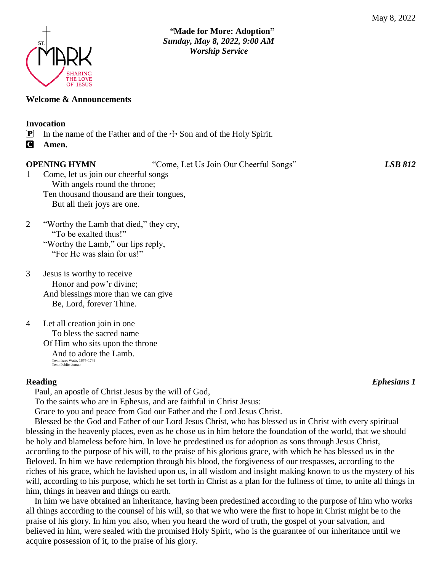

## **Welcome & Announcements**

### **Invocation**

- **P** In the name of the Father and of the  $\pm$  Son and of the Holy Spirit.
- C **Amen.**

**OPENING HYMN** "Come, Let Us Join Our Cheerful Songs" *LSB 812*

- 1 Come, let us join our cheerful songs With angels round the throne; Ten thousand thousand are their tongues, But all their joys are one.
- 2 "Worthy the Lamb that died," they cry, "To be exalted thus!" "Worthy the Lamb," our lips reply, "For He was slain for us!"
- 3 Jesus is worthy to receive Honor and pow'r divine; And blessings more than we can give Be, Lord, forever Thine.
- 4 Let all creation join in one To bless the sacred name Of Him who sits upon the throne And to adore the Lamb. Text: Isaac Watts, 1674–1748 Text: Public domain

Paul, an apostle of Christ Jesus by the will of God,

To the saints who are in Ephesus, and are faithful in Christ Jesus:

Grace to you and peace from God our Father and the Lord Jesus Christ.

Blessed be the God and Father of our Lord Jesus Christ, who has blessed us in Christ with every spiritual blessing in the heavenly places, even as he chose us in him before the foundation of the world, that we should be holy and blameless before him. In love he predestined us for adoption as sons through Jesus Christ, according to the purpose of his will, to the praise of his glorious grace, with which he has blessed us in the Beloved. In him we have redemption through his blood, the forgiveness of our trespasses, according to the riches of his grace, which he lavished upon us, in all wisdom and insight making known to us the mystery of his will, according to his purpose, which he set forth in Christ as a plan for the fullness of time, to unite all things in him, things in heaven and things on earth.

In him we have obtained an inheritance, having been predestined according to the purpose of him who works all things according to the counsel of his will, so that we who were the first to hope in Christ might be to the praise of his glory. In him you also, when you heard the word of truth, the gospel of your salvation, and believed in him, were sealed with the promised Holy Spirit, who is the guarantee of our inheritance until we acquire possession of it, to the praise of his glory.

**Reading** *Ephesians 1*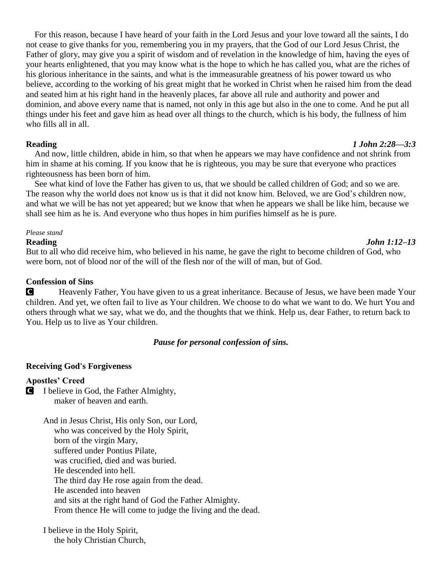For this reason, because I have heard of your faith in the Lord Jesus and your love toward all the saints, I do not cease to give thanks for you, remembering you in my prayers, that the God of our Lord Jesus Christ, the Father of glory, may give you a spirit of wisdom and of revelation in the knowledge of him, having the eyes of your hearts enlightened, that you may know what is the hope to which he has called you, what are the riches of his glorious inheritance in the saints, and what is the immeasurable greatness of his power toward us who believe, according to the working of his great might that he worked in Christ when he raised him from the dead and seated him at his right hand in the heavenly places, far above all rule and authority and power and dominion, and above every name that is named, not only in this age but also in the one to come. And he put all things under his feet and gave him as head over all things to the church, which is his body, the fullness of him who fills all in all.

And now, little children, abide in him, so that when he appears we may have confidence and not shrink from him in shame at his coming. If you know that he is righteous, you may be sure that everyone who practices righteousness has been born of him.

See what kind of love the Father has given to us, that we should be called children of God; and so we are. The reason why the world does not know us is that it did not know him. Beloved, we are God's children now, and what we will be has not yet appeared; but we know that when he appears we shall be like him, because we shall see him as he is. And everyone who thus hopes in him purifies himself as he is pure.

#### *Please stand*

But to all who did receive him, who believed in his name, he gave the right to become children of God, who were born, not of blood nor of the will of the flesh nor of the will of man, but of God.

### **Confession of Sins**

C Heavenly Father, You have given to us a great inheritance. Because of Jesus, we have been made Your children. And yet, we often fail to live as Your children. We choose to do what we want to do. We hurt You and others through what we say, what we do, and the thoughts that we think. Help us, dear Father, to return back to You. Help us to live as Your children.

#### *Pause for personal confession of sins.*

#### **Receiving God's Forgiveness**

#### **Apostles' Creed**

C I believe in God, the Father Almighty, maker of heaven and earth.

> And in Jesus Christ, His only Son, our Lord, who was conceived by the Holy Spirit, born of the virgin Mary, suffered under Pontius Pilate, was crucified, died and was buried. He descended into hell. The third day He rose again from the dead. He ascended into heaven and sits at the right hand of God the Father Almighty. From thence He will come to judge the living and the dead.

I believe in the Holy Spirit, the holy Christian Church,

### **Reading** *1 John 2:28—3:3*

# **Reading** *John 1:12–13*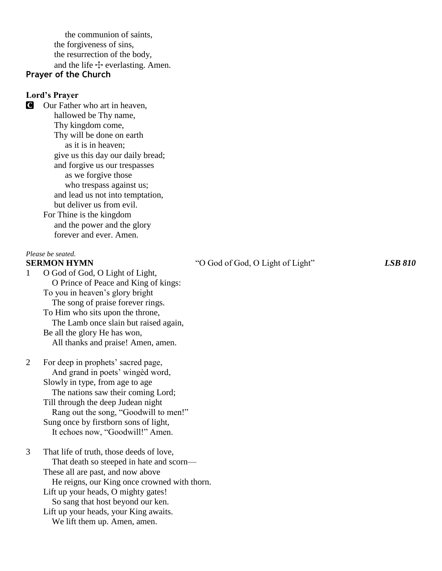the communion of saints, the forgiveness of sins, the resurrection of the body, and the life  $\pm$  everlasting. Amen.

# **Prayer of the Church**

### **Lord's Prayer**

**C** Our Father who art in heaven, hallowed be Thy name, Thy kingdom come, Thy will be done on earth as it is in heaven; give us this day our daily bread; and forgive us our trespasses as we forgive those who trespass against us; and lead us not into temptation, but deliver us from evil. For Thine is the kingdom and the power and the glory forever and ever. Amen.

#### *Please be seated.*

1 O God of God, O Light of Light, O Prince of Peace and King of kings: To you in heaven's glory bright The song of praise forever rings. To Him who sits upon the throne, The Lamb once slain but raised again, Be all the glory He has won, All thanks and praise! Amen, amen.

2 For deep in prophets' sacred page, And grand in poets' wingèd word, Slowly in type, from age to age The nations saw their coming Lord; Till through the deep Judean night Rang out the song, "Goodwill to men!" Sung once by firstborn sons of light, It echoes now, "Goodwill!" Amen.

3 That life of truth, those deeds of love, That death so steeped in hate and scorn— These all are past, and now above He reigns, our King once crowned with thorn. Lift up your heads, O mighty gates! So sang that host beyond our ken. Lift up your heads, your King awaits.

We lift them up. Amen, amen.

**SERMON HYMN** <sup>"O God</sup> of God, O Light of Light" *LSB 810*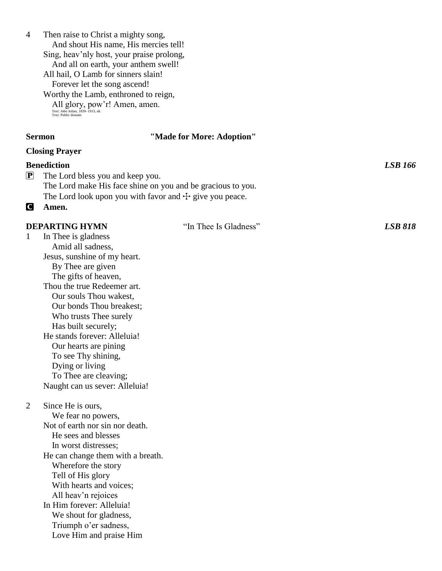And shout His name, His mercies tell! Sing, heav'nly host, your praise prolong, And all on earth, your anthem swell! All hail, O Lamb for sinners slain! Forever let the song ascend! Worthy the Lamb, enthroned to reign, All glory, pow'r! Amen, amen. Text: John Julian, 1839 –1913, alt. Text: Public domain **Sermon "Made for More: Adoption" Closing Prayer Benediction** *LSB 166* P The Lord bless you and keep you. The Lord make His face shine on you and be gracious to you. The Lord look upon you with favor and  $+$  give you peace. C **Amen. DEPARTING HYMN** "In Thee Is Gladness" *LSB 818* 1 In Thee is gladness Amid all sadness, Jesus, sunshine of my heart. By Thee are given The gifts of heaven, Thou the true Redeemer art. Our souls Thou wakest, Our bonds Thou breakest; Who trusts Thee surely Has built securely; He stands forever: Alleluia! Our hearts are pining To see Thy shining, Dying or living To Thee are cleaving; Naught can us sever: Alleluia! 2 Since He is ours, We fear no powers, Not of earth nor sin nor death. He sees and blesses In worst distresses; He can change them with a breath. Wherefore the story Tell of His glory With hearts and voices; All heav'n rejoices In Him forever: Alleluia! We shout for gladness, Triumph o'er sadness, Love Him and praise Him

4 Then raise to Christ a mighty song,